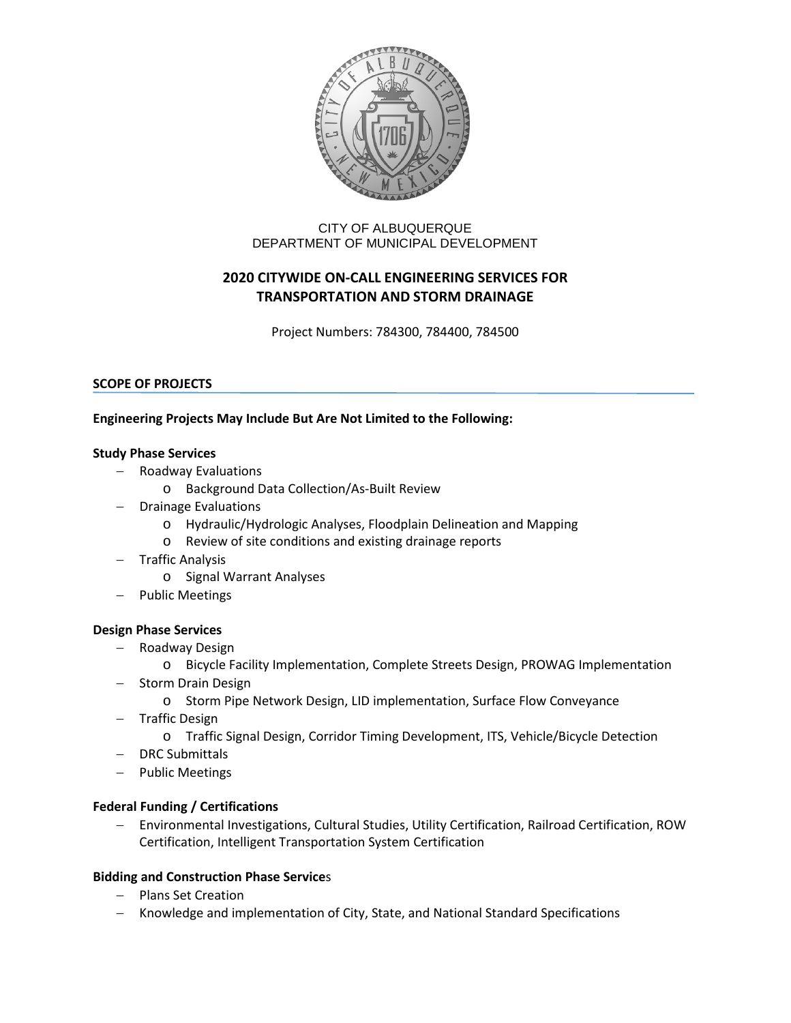

# CITY OF ALBUQUERQUE DEPARTMENT OF MUNICIPAL DEVELOPMENT

# **2020 CITYWIDE ON-CALL ENGINEERING SERVICES FOR TRANSPORTATION AND STORM DRAINAGE**

Project Numbers: 784300, 784400, 784500

## **SCOPE OF PROJECTS**

## **Engineering Projects May Include But Are Not Limited to the Following:**

#### **Study Phase Services**

- − Roadway Evaluations
	- o Background Data Collection/As-Built Review
- − Drainage Evaluations
	- o Hydraulic/Hydrologic Analyses, Floodplain Delineation and Mapping
	- o Review of site conditions and existing drainage reports
- − Traffic Analysis
	- o Signal Warrant Analyses
- Public Meetings

## **Design Phase Services**

- − Roadway Design
	- o Bicycle Facility Implementation, Complete Streets Design, PROWAG Implementation
- − Storm Drain Design
	- o Storm Pipe Network Design, LID implementation, Surface Flow Conveyance
- − Traffic Design
	- o Traffic Signal Design, Corridor Timing Development, ITS, Vehicle/Bicycle Detection
- − DRC Submittals
- − Public Meetings

## **Federal Funding / Certifications**

− Environmental Investigations, Cultural Studies, Utility Certification, Railroad Certification, ROW Certification, Intelligent Transportation System Certification

## **Bidding and Construction Phase Service**s

- − Plans Set Creation
- − Knowledge and implementation of City, State, and National Standard Specifications